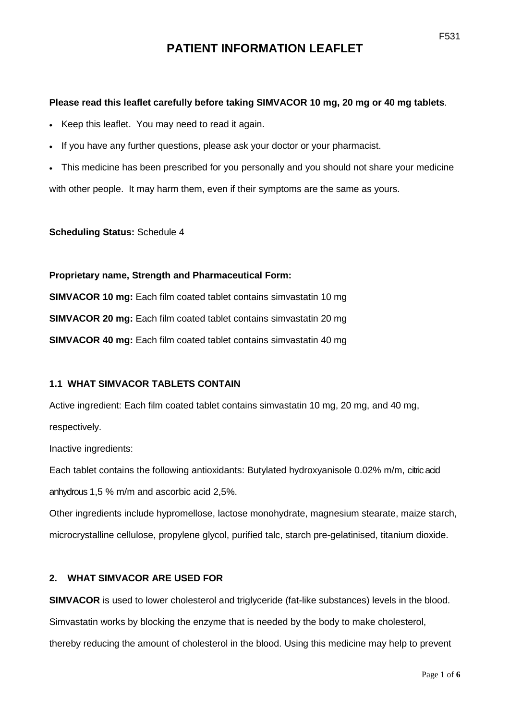# **PATIENT INFORMATION LEAFLET**

#### **Please read this leaflet carefully before taking SIMVACOR 10 mg, 20 mg or 40 mg tablets**.

- Keep this leaflet. You may need to read it again.
- If you have any further questions, please ask your doctor or your pharmacist.

• This medicine has been prescribed for you personally and you should not share your medicine with other people. It may harm them, even if their symptoms are the same as yours.

#### **Scheduling Status:** Schedule 4

**Proprietary name, Strength and Pharmaceutical Form: SIMVACOR 10 mg:** Each film coated tablet contains simvastatin 10 mg **SIMVACOR 20 mg:** Each film coated tablet contains simvastatin 20 mg **SIMVACOR 40 mg:** Each film coated tablet contains simvastatin 40 mg

#### **1.1 WHAT SIMVACOR TABLETS CONTAIN**

Active ingredient: Each film coated tablet contains simvastatin 10 mg, 20 mg, and 40 mg, respectively.

Inactive ingredients:

Each tablet contains the following antioxidants: Butylated hydroxyanisole 0.02% m/m, citric acid anhydrous 1,5 % m/m and ascorbic acid 2,5%.

Other ingredients include hypromellose, lactose monohydrate, magnesium stearate, maize starch, microcrystalline cellulose, propylene glycol, purified talc, starch pre-gelatinised, titanium dioxide.

#### **2. WHAT SIMVACOR ARE USED FOR**

**SIMVACOR** is used to lower cholesterol and triglyceride (fat-like substances) levels in the blood. Simvastatin works by blocking the enzyme that is needed by the body to make cholesterol, thereby reducing the amount of cholesterol in the blood. Using this medicine may help to prevent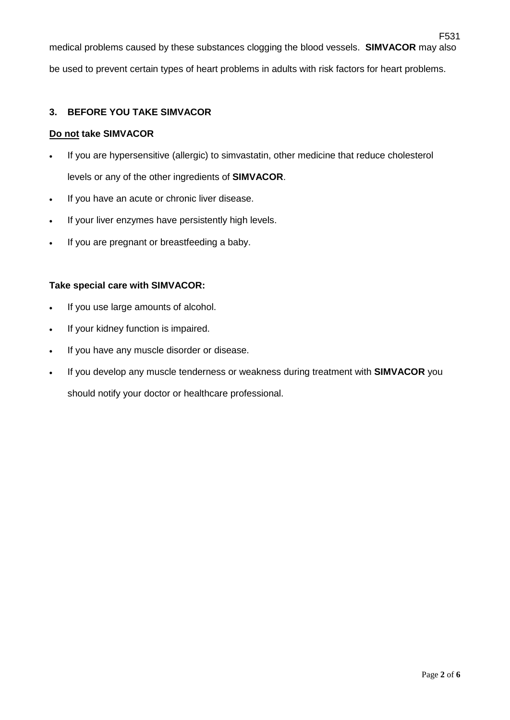F531 medical problems caused by these substances clogging the blood vessels. **SIMVACOR** may also be used to prevent certain types of heart problems in adults with risk factors for heart problems.

## **3. BEFORE YOU TAKE SIMVACOR**

#### **Do not take SIMVACOR**

- If you are hypersensitive (allergic) to simvastatin, other medicine that reduce cholesterol levels or any of the other ingredients of **SIMVACOR**.
- If you have an acute or chronic liver disease.
- If your liver enzymes have persistently high levels.
- If you are pregnant or breastfeeding a baby.

#### **Take special care with SIMVACOR:**

- If you use large amounts of alcohol.
- If your kidney function is impaired.
- If you have any muscle disorder or disease.
- If you develop any muscle tenderness or weakness during treatment with **SIMVACOR** you should notify your doctor or healthcare professional.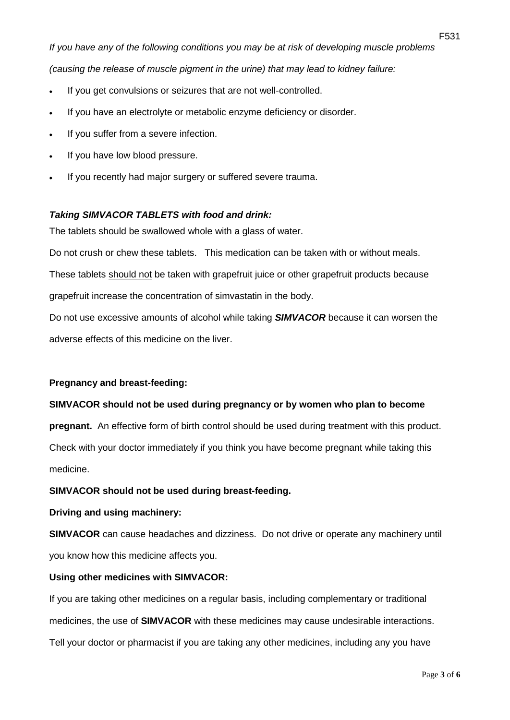*If you have any of the following conditions you may be at risk of developing muscle problems* 

*(causing the release of muscle pigment in the urine) that may lead to kidney failure:* 

- If you get convulsions or seizures that are not well-controlled.
- If you have an electrolyte or metabolic enzyme deficiency or disorder.
- If you suffer from a severe infection.
- If you have low blood pressure.
- If you recently had major surgery or suffered severe trauma.

# *Taking SIMVACOR TABLETS with food and drink:*

The tablets should be swallowed whole with a glass of water.

Do not crush or chew these tablets. This medication can be taken with or without meals.

These tablets should not be taken with grapefruit juice or other grapefruit products because grapefruit increase the concentration of simvastatin in the body.

Do not use excessive amounts of alcohol while taking *SIMVACOR* because it can worsen the adverse effects of this medicine on the liver.

# **Pregnancy and breast-feeding:**

# **SIMVACOR should not be used during pregnancy or by women who plan to become**

**pregnant.** An effective form of birth control should be used during treatment with this product. Check with your doctor immediately if you think you have become pregnant while taking this medicine.

# **SIMVACOR should not be used during breast-feeding.**

## **Driving and using machinery:**

**SIMVACOR** can cause headaches and dizziness. Do not drive or operate any machinery until you know how this medicine affects you.

# **Using other medicines with SIMVACOR:**

If you are taking other medicines on a regular basis, including complementary or traditional medicines, the use of **SIMVACOR** with these medicines may cause undesirable interactions. Tell your doctor or pharmacist if you are taking any other medicines, including any you have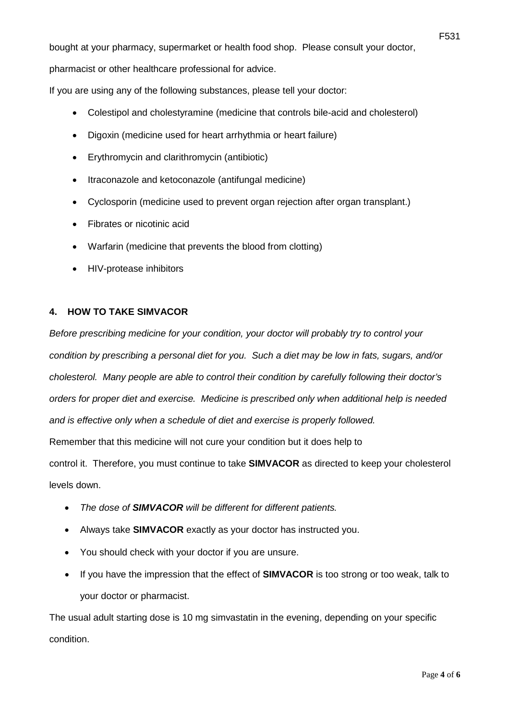bought at your pharmacy, supermarket or health food shop. Please consult your doctor,

pharmacist or other healthcare professional for advice.

If you are using any of the following substances, please tell your doctor:

- Colestipol and cholestyramine (medicine that controls bile-acid and cholesterol)
- Digoxin (medicine used for heart arrhythmia or heart failure)
- Erythromycin and clarithromycin (antibiotic)
- Itraconazole and ketoconazole (antifungal medicine)
- Cyclosporin (medicine used to prevent organ rejection after organ transplant.)
- Fibrates or nicotinic acid
- Warfarin (medicine that prevents the blood from clotting)
- HIV-protease inhibitors

#### **4. HOW TO TAKE SIMVACOR**

*Before prescribing medicine for your condition, your doctor will probably try to control your condition by prescribing a personal diet for you. Such a diet may be low in fats, sugars, and/or cholesterol. Many people are able to control their condition by carefully following their doctor's orders for proper diet and exercise. Medicine is prescribed only when additional help is needed and is effective only when a schedule of diet and exercise is properly followed.*  Remember that this medicine will not cure your condition but it does help to control it. Therefore, you must continue to take **SIMVACOR** as directed to keep your cholesterol levels down.

- *The dose of SIMVACOR will be different for different patients.*
- Always take **SIMVACOR** exactly as your doctor has instructed you.
- You should check with your doctor if you are unsure.
- If you have the impression that the effect of **SIMVACOR** is too strong or too weak, talk to your doctor or pharmacist.

The usual adult starting dose is 10 mg simvastatin in the evening, depending on your specific condition.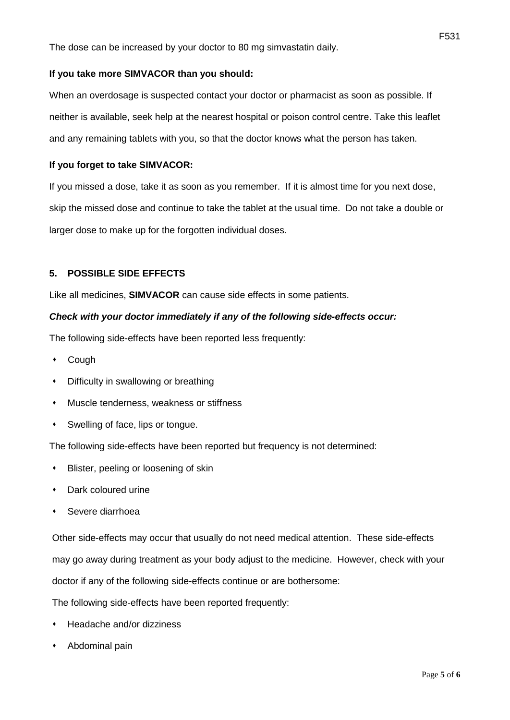## **If you take more SIMVACOR than you should:**

When an overdosage is suspected contact your doctor or pharmacist as soon as possible. If neither is available, seek help at the nearest hospital or poison control centre. Take this leaflet and any remaining tablets with you, so that the doctor knows what the person has taken.

## **If you forget to take SIMVACOR:**

If you missed a dose, take it as soon as you remember. If it is almost time for you next dose, skip the missed dose and continue to take the tablet at the usual time. Do not take a double or larger dose to make up for the forgotten individual doses.

## **5. POSSIBLE SIDE EFFECTS**

Like all medicines, **SIMVACOR** can cause side effects in some patients.

## *Check with your doctor immediately if any of the following side-effects occur:*

The following side-effects have been reported less frequently:

- Cough
- Difficulty in swallowing or breathing
- Muscle tenderness, weakness or stiffness
- Swelling of face, lips or tongue.

The following side-effects have been reported but frequency is not determined:

- Blister, peeling or loosening of skin
- Dark coloured urine
- Severe diarrhoea

Other side-effects may occur that usually do not need medical attention. These side-effects may go away during treatment as your body adjust to the medicine. However, check with your doctor if any of the following side-effects continue or are bothersome:

The following side-effects have been reported frequently:

- Headache and/or dizziness
- Abdominal pain